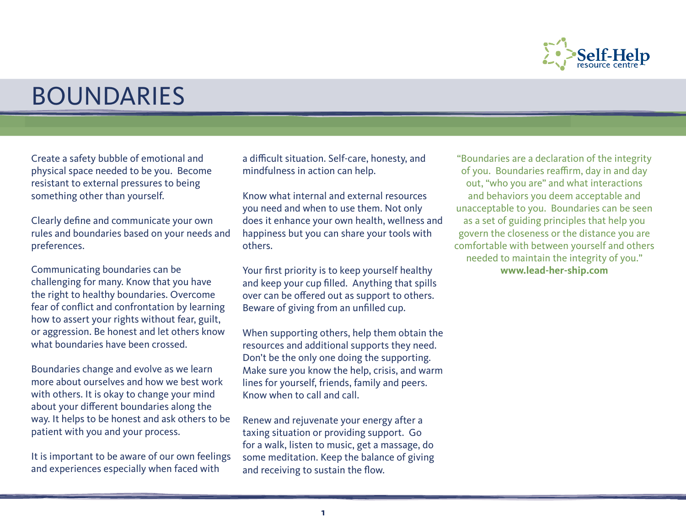

## BOUNDARIES

Create a safety bubble of emotional and physical space needed to be you. Become resistant to external pressures to being something other than yourself.

Clearly define and communicate your own rules and boundaries based on your needs and preferences.

Communicating boundaries can be challenging for many. Know that you have the right to healthy boundaries. Overcome fear of conflict and confrontation by learning how to assert your rights without fear, guilt, or aggression. Be honest and let others know what boundaries have been crossed.

Boundaries change and evolve as we learn more about ourselves and how we best work with others. It is okay to change your mind about your different boundaries along the way. It helps to be honest and ask others to be patient with you and your process.

It is important to be aware of our own feelings and experiences especially when faced with

a difficult situation. Self-care, honesty, and mindfulness in action can help.

Know what internal and external resources you need and when to use them. Not only does it enhance your own health, wellness and happiness but you can share your tools with others.

Your first priority is to keep yourself healthy and keep your cup filled. Anything that spills over can be offered out as support to others. Beware of giving from an unfilled cup.

When supporting others, help them obtain the resources and additional supports they need. Don't be the only one doing the supporting. Make sure you know the help, crisis, and warm lines for yourself, friends, family and peers. Know when to call and call.

Renew and rejuvenate your energy after a taxing situation or providing support. Go for a walk, listen to music, get a massage, do some meditation. Keep the balance of giving and receiving to sustain the flow.

"Boundaries are a declaration of the integrity of you. Boundaries reaffirm, day in and day out, "who you are" and what interactions and behaviors you deem acceptable and unacceptable to you. Boundaries can be seen as a set of guiding principles that help you govern the closeness or the distance you are comfortable with between yourself and others needed to maintain the integrity of you." **www.lead-her-ship.com**